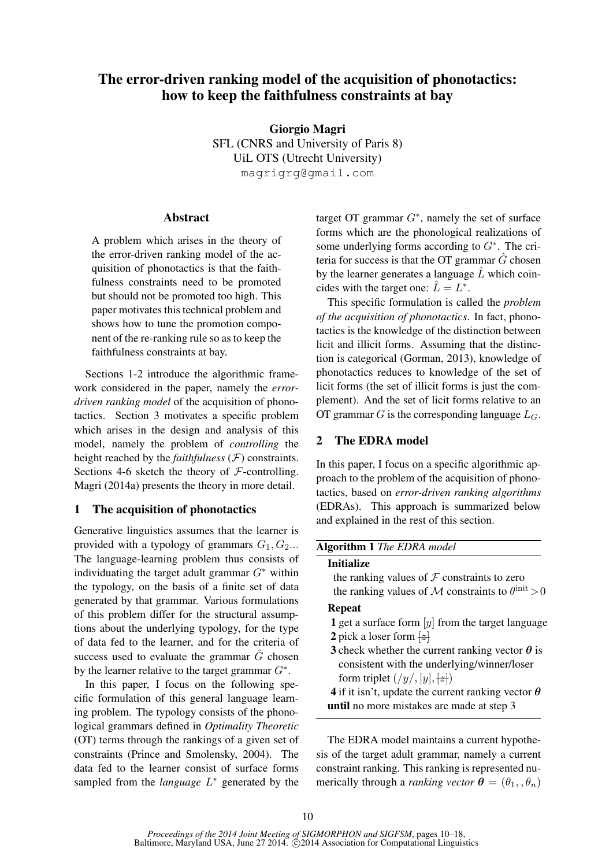# The error-driven ranking model of the acquisition of phonotactics: how to keep the faithfulness constraints at bay

Giorgio Magri SFL (CNRS and University of Paris 8) UiL OTS (Utrecht University) magrigrg@gmail.com

### **Abstract**

A problem which arises in the theory of the error-driven ranking model of the acquisition of phonotactics is that the faithfulness constraints need to be promoted but should not be promoted too high. This paper motivates this technical problem and shows how to tune the promotion component of the re-ranking rule so as to keep the faithfulness constraints at bay.

Sections 1-2 introduce the algorithmic framework considered in the paper, namely the *errordriven ranking model* of the acquisition of phonotactics. Section 3 motivates a specific problem which arises in the design and analysis of this model, namely the problem of *controlling* the height reached by the *faithfulness*  $(F)$  constraints. Sections 4-6 sketch the theory of  $F$ -controlling. Magri (2014a) presents the theory in more detail.

### 1 The acquisition of phonotactics

Generative linguistics assumes that the learner is provided with a typology of grammars  $G_1, G_2...$ The language-learning problem thus consists of individuating the target adult grammar  $G^*$  within the typology, on the basis of a finite set of data generated by that grammar. Various formulations of this problem differ for the structural assumptions about the underlying typology, for the type of data fed to the learner, and for the criteria of success used to evaluate the grammar  $\hat{G}$  chosen by the learner relative to the target grammar  $G^*$ .

In this paper, I focus on the following specific formulation of this general language learning problem. The typology consists of the phonological grammars defined in *Optimality Theoretic* (OT) terms through the rankings of a given set of constraints (Prince and Smolensky, 2004). The data fed to the learner consist of surface forms sampled from the *language*  $L$ <sup>\*</sup> generated by the

target OT grammar  $G^*$ , namely the set of surface forms which are the phonological realizations of some underlying forms according to  $G^*$ . The criteria for success is that the OT grammar  $\hat{G}$  chosen by the learner generates a language  $L$  which coincides with the target one:  $\hat{L} = L^*$ .

This specific formulation is called the *problem of the acquisition of phonotactics*. In fact, phonotactics is the knowledge of the distinction between licit and illicit forms. Assuming that the distinction is categorical (Gorman, 2013), knowledge of phonotactics reduces to knowledge of the set of licit forms (the set of illicit forms is just the complement). And the set of licit forms relative to an OT grammar  $G$  is the corresponding language  $L_G$ .

# 2 The EDRA model

In this paper, I focus on a specific algorithmic approach to the problem of the acquisition of phonotactics, based on *error-driven ranking algorithms* (EDRAs). This approach is summarized below and explained in the rest of this section.

# Algorithm 1 *The EDRA model*

#### Initialize

the ranking values of  $\mathcal F$  constraints to zero the ranking values of M constraints to  $\theta^{\text{init}} > 0$ 

# Repeat

- 1 get a surface form  $[y]$  from the target language
- 2 pick a loser form  $\frac{z}{z}$
- 3 check whether the current ranking vector  $\theta$  is consistent with the underlying/winner/loser form triplet  $(\frac{y}{y}, [y], \frac{z}{z})$
- 4 if it isn't, update the current ranking vector  $\theta$ until no more mistakes are made at step 3

The EDRA model maintains a current hypothesis of the target adult grammar, namely a current constraint ranking. This ranking is represented numerically through a *ranking vector*  $\boldsymbol{\theta} = (\theta_1, \theta_n)$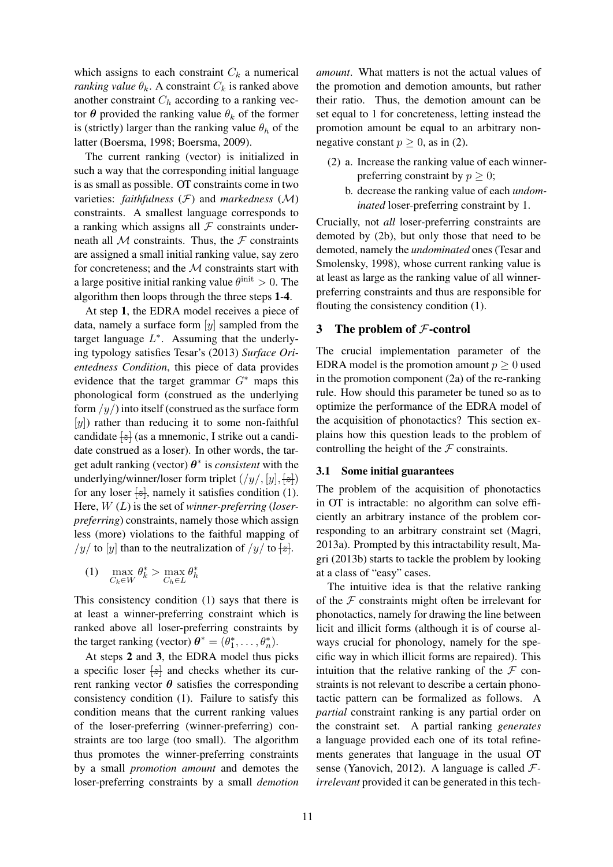which assigns to each constraint  $C_k$  a numerical *ranking value*  $\theta_k$ . A constraint  $C_k$  is ranked above another constraint  $C_h$  according to a ranking vector  $\theta$  provided the ranking value  $\theta_k$  of the former is (strictly) larger than the ranking value  $\theta_h$  of the latter (Boersma, 1998; Boersma, 2009).

The current ranking (vector) is initialized in such a way that the corresponding initial language is as small as possible. OT constraints come in two varieties: *faithfulness* (F) and *markedness* (M) constraints. A smallest language corresponds to a ranking which assigns all  $\mathcal F$  constraints underneath all  $M$  constraints. Thus, the  $F$  constraints are assigned a small initial ranking value, say zero for concreteness; and the  $M$  constraints start with a large positive initial ranking value  $\theta^{\text{init}} > 0$ . The algorithm then loops through the three steps 1-4.

At step 1, the EDRA model receives a piece of data, namely a surface form  $[y]$  sampled from the target language  $L^*$ . Assuming that the underlying typology satisfies Tesar's (2013) *Surface Orientedness Condition*, this piece of data provides evidence that the target grammar  $G^*$  maps this phonological form (construed as the underlying form  $/y/$ ) into itself (construed as the surface form  $[y]$ ) rather than reducing it to some non-faithful candidate  $\left| z \right|$  (as a mnemonic, I strike out a candidate construed as a loser). In other words, the target adult ranking (vector)  $\theta^*$  is *consistent* with the underlying/winner/loser form triplet  $(\frac{y}{y}, [y], \frac{z}{z})$ for any loser  $\left\{\neq\right\}$ , namely it satisfies condition (1). Here, W (L) is the set of *winner-preferring* (*loserpreferring*) constraints, namely those which assign less (more) violations to the faithful mapping of /y/ to [y] than to the neutralization of /y/ to  $\frac{z}{z}$ .

$$
(1) \quad \max_{C_k \in W} \theta_k^* > \max_{C_h \in L} \theta_h^*
$$

This consistency condition (1) says that there is at least a winner-preferring constraint which is ranked above all loser-preferring constraints by the target ranking (vector)  $\boldsymbol{\theta}^* = (\theta_1^*, \dots, \theta_n^*).$ 

At steps 2 and 3, the EDRA model thus picks a specific loser  $\left| z \right|$  and checks whether its current ranking vector  $\theta$  satisfies the corresponding consistency condition (1). Failure to satisfy this condition means that the current ranking values of the loser-preferring (winner-preferring) constraints are too large (too small). The algorithm thus promotes the winner-preferring constraints by a small *promotion amount* and demotes the loser-preferring constraints by a small *demotion*

*amount*. What matters is not the actual values of the promotion and demotion amounts, but rather their ratio. Thus, the demotion amount can be set equal to 1 for concreteness, letting instead the promotion amount be equal to an arbitrary nonnegative constant  $p > 0$ , as in (2).

- (2) a. Increase the ranking value of each winnerpreferring constraint by  $p > 0$ ;
	- b. decrease the ranking value of each *undominated* loser-preferring constraint by 1.

Crucially, not *all* loser-preferring constraints are demoted by (2b), but only those that need to be demoted, namely the *undominated* ones (Tesar and Smolensky, 1998), whose current ranking value is at least as large as the ranking value of all winnerpreferring constraints and thus are responsible for flouting the consistency condition (1).

# 3 The problem of  $F$ -control

The crucial implementation parameter of the EDRA model is the promotion amount  $p \geq 0$  used in the promotion component (2a) of the re-ranking rule. How should this parameter be tuned so as to optimize the performance of the EDRA model of the acquisition of phonotactics? This section explains how this question leads to the problem of controlling the height of the  $\mathcal F$  constraints.

### 3.1 Some initial guarantees

The problem of the acquisition of phonotactics in OT is intractable: no algorithm can solve efficiently an arbitrary instance of the problem corresponding to an arbitrary constraint set (Magri, 2013a). Prompted by this intractability result, Magri (2013b) starts to tackle the problem by looking at a class of "easy" cases.

The intuitive idea is that the relative ranking of the  $F$  constraints might often be irrelevant for phonotactics, namely for drawing the line between licit and illicit forms (although it is of course always crucial for phonology, namely for the specific way in which illicit forms are repaired). This intuition that the relative ranking of the  $\mathcal F$  constraints is not relevant to describe a certain phonotactic pattern can be formalized as follows. A *partial* constraint ranking is any partial order on the constraint set. A partial ranking *generates* a language provided each one of its total refinements generates that language in the usual OT sense (Yanovich, 2012). A language is called F*irrelevant* provided it can be generated in this tech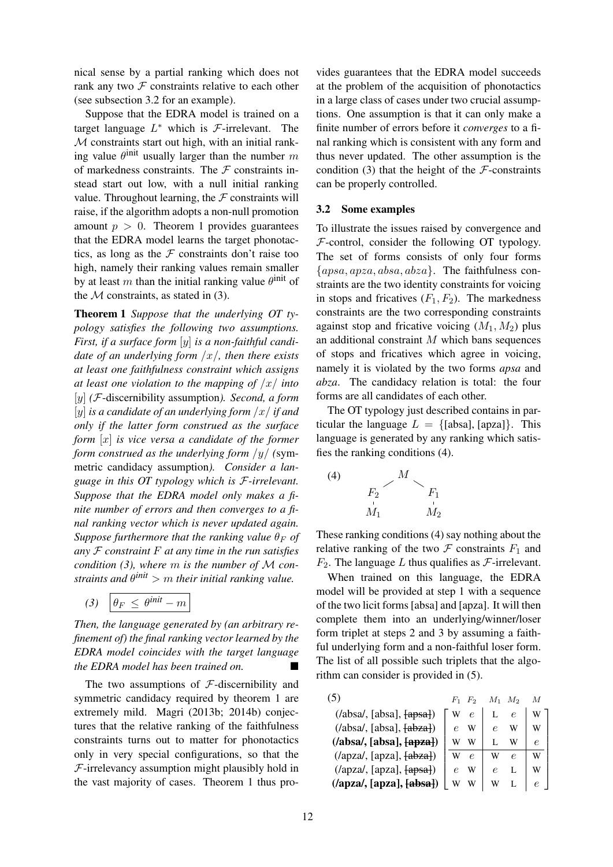nical sense by a partial ranking which does not rank any two  $F$  constraints relative to each other (see subsection 3.2 for an example).

Suppose that the EDRA model is trained on a target language  $L^*$  which is  $\mathcal{F}\text{-irrelevant.}$  The  $M$  constraints start out high, with an initial ranking value  $\theta^{\text{init}}$  usually larger than the number m of markedness constraints. The  $\mathcal F$  constraints instead start out low, with a null initial ranking value. Throughout learning, the  $F$  constraints will raise, if the algorithm adopts a non-null promotion amount  $p > 0$ . Theorem 1 provides guarantees that the EDRA model learns the target phonotactics, as long as the  $F$  constraints don't raise too high, namely their ranking values remain smaller by at least m than the initial ranking value  $\theta^{\text{init}}$  of the  $M$  constraints, as stated in (3).

Theorem 1 *Suppose that the underlying OT typology satisfies the following two assumptions. First, if a surface form* [y] *is a non-faithful candidate of an underlying form* /x/*, then there exists at least one faithfulness constraint which assigns at least one violation to the mapping of* /x/ *into* [y] *(*F-discernibility assumption*). Second, a form* [y] *is a candidate of an underlying form* /x/ *if and only if the latter form construed as the surface form* [x] *is vice versa a candidate of the former form construed as the underlying form* /y/ *(*symmetric candidacy assumption*). Consider a language in this OT typology which is* F*-irrelevant. Suppose that the EDRA model only makes a finite number of errors and then converges to a final ranking vector which is never updated again. Suppose furthermore that the ranking value*  $\theta_F$  *of any* F *constraint* F *at any time in the run satisfies condition (3), where* m *is the number of* M *constraints and* θ *init* > m *their initial ranking value.*

$$
(3) \left| \theta_F \leq \theta^{\text{init}} - m \right|
$$

*Then, the language generated by (an arbitrary refinement of) the final ranking vector learned by the EDRA model coincides with the target language the EDRA model has been trained on.*

The two assumptions of  $F$ -discernibility and symmetric candidacy required by theorem 1 are extremely mild. Magri (2013b; 2014b) conjectures that the relative ranking of the faithfulness constraints turns out to matter for phonotactics only in very special configurations, so that the  $F$ -irrelevancy assumption might plausibly hold in the vast majority of cases. Theorem 1 thus pro-

vides guarantees that the EDRA model succeeds at the problem of the acquisition of phonotactics in a large class of cases under two crucial assumptions. One assumption is that it can only make a finite number of errors before it *converges* to a final ranking which is consistent with any form and thus never updated. The other assumption is the condition (3) that the height of the  $\mathcal F$ -constraints can be properly controlled.

#### 3.2 Some examples

To illustrate the issues raised by convergence and  $F$ -control, consider the following OT typology. The set of forms consists of only four forms  $\{apsa, apza, absa, abza\}$ . The faithfulness constraints are the two identity constraints for voicing in stops and fricatives  $(F_1, F_2)$ . The markedness constraints are the two corresponding constraints against stop and fricative voicing  $(M_1, M_2)$  plus an additional constraint M which bans sequences of stops and fricatives which agree in voicing, namely it is violated by the two forms *apsa* and *abza*. The candidacy relation is total: the four forms are all candidates of each other.

The OT typology just described contains in particular the language  $L = \{[\text{absa}], [\text{apza}]\}\$ . This language is generated by any ranking which satisfies the ranking conditions (4).



These ranking conditions (4) say nothing about the relative ranking of the two  $\mathcal F$  constraints  $F_1$  and  $F_2$ . The language L thus qualifies as  $\mathcal{F}$ -irrelevant.

When trained on this language, the EDRA model will be provided at step 1 with a sequence of the two licit forms [absa] and [apza]. It will then complete them into an underlying/winner/loser form triplet at steps 2 and 3 by assuming a faithful underlying form and a non-faithful loser form. The list of all possible such triplets that the algorithm can consider is provided in (5).

|                                                                                             |   |            |   | $M_{2}$ |   |  |
|---------------------------------------------------------------------------------------------|---|------------|---|---------|---|--|
| ( /absa/, [absa], <del>[apsa])</del> )                                                      |   | $\epsilon$ |   | e       | w |  |
| $(7absa', [absa], \overline{fabza}])$                                                       |   | W          |   |         |   |  |
| $(7absa, [absa], \overline{5a}$                                                             |   |            |   | w       | e |  |
| $(\alpha$ pza/, [apza], $\{\alpha$ bza])                                                    |   | e          |   | e       | W |  |
| $\left(\frac{\text{apz}}{\text{apz}}\right)$ , $\left[\frac{\text{apz}}{\text{apz}}\right]$ |   | W          |   |         | W |  |
| $\left(\frac{\text{apza}}{\text{apza}}, \frac{\text{apza}}{\text{absa}}\right)$             | W |            | W |         |   |  |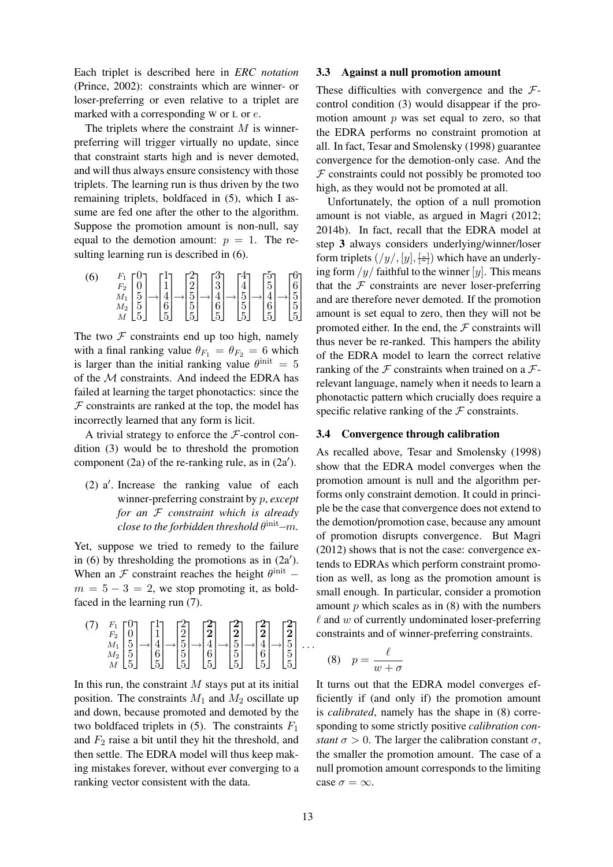Each triplet is described here in *ERC notation* (Prince, 2002): constraints which are winner- or loser-preferring or even relative to a triplet are marked with a corresponding W or L or e.

The triplets where the constraint  $M$  is winnerpreferring will trigger virtually no update, since that constraint starts high and is never demoted, and will thus always ensure consistency with those triplets. The learning run is thus driven by the two remaining triplets, boldfaced in (5), which I assume are fed one after the other to the algorithm. Suppose the promotion amount is non-null, say equal to the demotion amount:  $p = 1$ . The resulting learning run is described in (6).

| (6) | $\frac{F_2}{M_1}$<br>$M_2$ | $\begin{bmatrix} 0 \\ 0 \\ 5 \\ 5 \\ \end{bmatrix} \rightarrow \begin{bmatrix} 1 \\ 1 \\ 4 \\ 6 \\ \end{bmatrix} \rightarrow \begin{bmatrix} 2 \\ 2 \\ 5 \\ 5 \\ \end{bmatrix} \rightarrow \begin{bmatrix} 3 \\ 3 \\ 4 \\ 6 \\ \end{bmatrix} \rightarrow \begin{bmatrix} 4 \\ 4 \\ 5 \\ 5 \\ \end{bmatrix} \rightarrow \begin{bmatrix} 5 \\ 5 \\ 4 \\ 6 \\ \end{bmatrix} \rightarrow \begin{bmatrix} 6 \\ 6 \\ 5 \\ \end{bmatrix}$ |  |  |  |
|-----|----------------------------|------------------------------------------------------------------------------------------------------------------------------------------------------------------------------------------------------------------------------------------------------------------------------------------------------------------------------------------------------------------------------------------------------------------------------------|--|--|--|
|     |                            |                                                                                                                                                                                                                                                                                                                                                                                                                                    |  |  |  |

The two  $F$  constraints end up too high, namely with a final ranking value  $\theta_{F_1} = \theta_{F_2} = 6$  which is larger than the initial ranking value  $\theta^{\text{init}} = 5$ of the M constraints. And indeed the EDRA has failed at learning the target phonotactics: since the  $F$  constraints are ranked at the top, the model has incorrectly learned that any form is licit.

A trivial strategy to enforce the  $F$ -control condition (3) would be to threshold the promotion component (2a) of the re-ranking rule, as in  $(2a')$ .

 $(2)$  a'. Increase the ranking value of each winner-preferring constraint by p, *except for an* F *constraint which is already*  $close$  to the forbidden threshold  $\theta^{\rm init}\!\!-\!\!m.$ 

Yet, suppose we tried to remedy to the failure in (6) by thresholding the promotions as in  $(2a')$ . When an  $\mathcal F$  constraint reaches the height  $\theta^{\text{init}}$  –  $m = 5 - 3 = 2$ , we stop promoting it, as boldfaced in the learning run (7).

$$
\begin{pmatrix} 7 & F_1 & 0 \ F_2 & 0 & 1 \ M_1 & 5 & 1 \ 5 & 5 & 6 \end{pmatrix} \rightarrow \begin{pmatrix} 1 \\ 1 \\ 4 \\ 5 \end{pmatrix} \rightarrow \begin{pmatrix} 2 \\ 2 \\ 5 \\ 5 \end{pmatrix} \rightarrow \begin{pmatrix} 2 \\ 2 \\ 4 \\ 5 \end{pmatrix} \rightarrow \begin{pmatrix} 2 \\ 2 \\ 5 \\ 5 \end{pmatrix} \rightarrow \begin{pmatrix} 2 \\ 2 \\ 4 \\ 5 \end{pmatrix} \rightarrow \begin{pmatrix} 2 \\ 2 \\ 4 \\ 5 \end{pmatrix} \rightarrow \begin{pmatrix} 2 \\ 2 \\ 5 \\ 5 \end{pmatrix} \dots
$$

In this run, the constraint  $M$  stays put at its initial position. The constraints  $M_1$  and  $M_2$  oscillate up and down, because promoted and demoted by the two boldfaced triplets in  $(5)$ . The constraints  $F_1$ and  $F_2$  raise a bit until they hit the threshold, and then settle. The EDRA model will thus keep making mistakes forever, without ever converging to a ranking vector consistent with the data.

#### 3.3 Against a null promotion amount

These difficulties with convergence and the  $\mathcal{F}$ control condition (3) would disappear if the promotion amount  $p$  was set equal to zero, so that the EDRA performs no constraint promotion at all. In fact, Tesar and Smolensky (1998) guarantee convergence for the demotion-only case. And the  $F$  constraints could not possibly be promoted too high, as they would not be promoted at all.

Unfortunately, the option of a null promotion amount is not viable, as argued in Magri (2012; 2014b). In fact, recall that the EDRA model at step 3 always considers underlying/winner/loser form triplets  $(y/y, [y], \pm)$  which have an underlying form  $/y/$  faithful to the winner [y]. This means that the  $F$  constraints are never loser-preferring and are therefore never demoted. If the promotion amount is set equal to zero, then they will not be promoted either. In the end, the  $F$  constraints will thus never be re-ranked. This hampers the ability of the EDRA model to learn the correct relative ranking of the  $\mathcal F$  constraints when trained on a  $\mathcal F$ relevant language, namely when it needs to learn a phonotactic pattern which crucially does require a specific relative ranking of the  $\mathcal F$  constraints.

### 3.4 Convergence through calibration

As recalled above, Tesar and Smolensky (1998) show that the EDRA model converges when the promotion amount is null and the algorithm performs only constraint demotion. It could in principle be the case that convergence does not extend to the demotion/promotion case, because any amount of promotion disrupts convergence. But Magri (2012) shows that is not the case: convergence extends to EDRAs which perform constraint promotion as well, as long as the promotion amount is small enough. In particular, consider a promotion amount  $p$  which scales as in  $(8)$  with the numbers  $\ell$  and  $w$  of currently undominated loser-preferring constraints and of winner-preferring constraints.

$$
(8) \quad p = \frac{\ell}{w + \sigma}
$$

It turns out that the EDRA model converges efficiently if (and only if) the promotion amount is *calibrated*, namely has the shape in (8) corresponding to some strictly positive *calibration constant*  $\sigma > 0$ . The larger the calibration constant  $\sigma$ , the smaller the promotion amount. The case of a null promotion amount corresponds to the limiting case  $\sigma = \infty$ .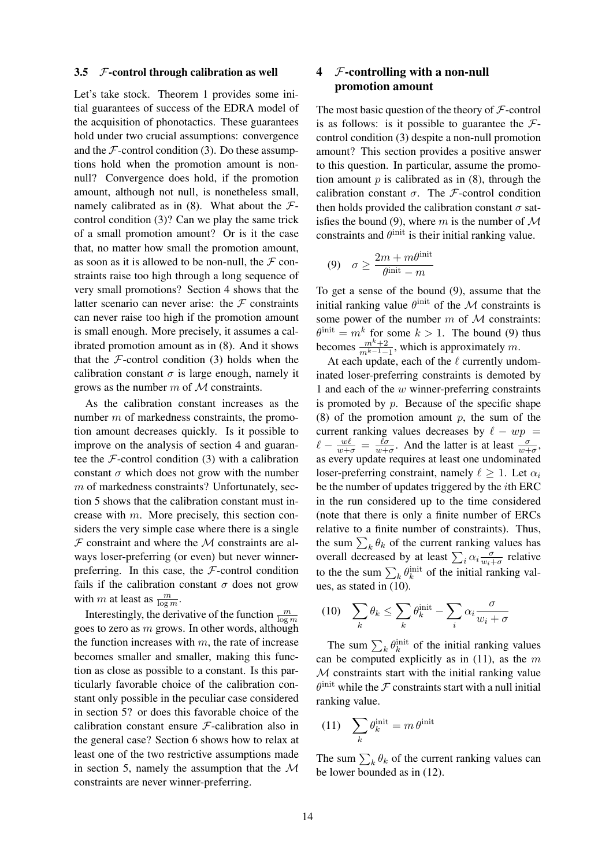#### 3.5  $F$ -control through calibration as well

Let's take stock. Theorem 1 provides some initial guarantees of success of the EDRA model of the acquisition of phonotactics. These guarantees hold under two crucial assumptions: convergence and the  $F$ -control condition (3). Do these assumptions hold when the promotion amount is nonnull? Convergence does hold, if the promotion amount, although not null, is nonetheless small, namely calibrated as in  $(8)$ . What about the  $\mathcal{F}$ control condition (3)? Can we play the same trick of a small promotion amount? Or is it the case that, no matter how small the promotion amount, as soon as it is allowed to be non-null, the  $\mathcal F$  constraints raise too high through a long sequence of very small promotions? Section 4 shows that the latter scenario can never arise: the  $\mathcal F$  constraints can never raise too high if the promotion amount is small enough. More precisely, it assumes a calibrated promotion amount as in (8). And it shows that the  $\mathcal F$ -control condition (3) holds when the calibration constant  $\sigma$  is large enough, namely it grows as the number  $m$  of  $M$  constraints.

As the calibration constant increases as the number m of markedness constraints, the promotion amount decreases quickly. Is it possible to improve on the analysis of section 4 and guarantee the  $\mathcal F$ -control condition (3) with a calibration constant  $\sigma$  which does not grow with the number m of markedness constraints? Unfortunately, section 5 shows that the calibration constant must increase with m. More precisely, this section considers the very simple case where there is a single  $F$  constraint and where the  $M$  constraints are always loser-preferring (or even) but never winnerpreferring. In this case, the  $F$ -control condition fails if the calibration constant  $\sigma$  does not grow with m at least as  $\frac{m}{\log m}$ .

Interestingly, the derivative of the function  $\frac{m}{\log m}$ goes to zero as  $m$  grows. In other words, although the function increases with  $m$ , the rate of increase becomes smaller and smaller, making this function as close as possible to a constant. Is this particularly favorable choice of the calibration constant only possible in the peculiar case considered in section 5? or does this favorable choice of the calibration constant ensure F-calibration also in the general case? Section 6 shows how to relax at least one of the two restrictive assumptions made in section 5, namely the assumption that the  $\mathcal M$ constraints are never winner-preferring.

# 4 F-controlling with a non-null promotion amount

The most basic question of the theory of  $\mathcal F$ -control is as follows: is it possible to guarantee the  $\mathcal{F}$ control condition (3) despite a non-null promotion amount? This section provides a positive answer to this question. In particular, assume the promotion amount  $p$  is calibrated as in  $(8)$ , through the calibration constant  $\sigma$ . The *F*-control condition then holds provided the calibration constant  $\sigma$  satisfies the bound (9), where m is the number of  $\mathcal M$ constraints and  $\theta^{\text{init}}$  is their initial ranking value.

$$
(9) \quad \sigma \ge \frac{2m + m\theta^{\text{init}}}{\theta^{\text{init}} - m}
$$

To get a sense of the bound (9), assume that the initial ranking value  $\theta^{\text{init}}$  of the M constraints is some power of the number  $m$  of  $M$  constraints:  $\theta^{\text{init}} = m^k$  for some  $k > 1$ . The bound (9) thus becomes  $\frac{m^k+2}{m^{k-1}-1}$ , which is approximately m.

At each update, each of the  $\ell$  currently undominated loser-preferring constraints is demoted by 1 and each of the  $w$  winner-preferring constraints is promoted by  $p$ . Because of the specific shape (8) of the promotion amount  $p$ , the sum of the current ranking values decreases by  $\ell - wp =$  $\ell - \frac{w\ell}{w+\sigma} = \frac{\ell\sigma}{w+\sigma}$ . And the latter is at least  $\frac{\sigma}{w+\sigma}$ , as every update requires at least one undominated loser-preferring constraint, namely  $\ell > 1$ . Let  $\alpha_i$ be the number of updates triggered by the ith ERC in the run considered up to the time considered (note that there is only a finite number of ERCs relative to a finite number of constraints). Thus, the sum  $\sum_k \theta_k$  of the current ranking values has overall decreased by at least  $\sum_i \alpha_i \frac{\sigma}{w_i + \sigma}$  relative to the the sum  $\sum_k \theta_k^{\text{init}}$  of the initial ranking values, as stated in (10).

$$
(10)\quad \sum_{k} \theta_k \le \sum_{k} \theta_k^{\text{init}} - \sum_{i} \alpha_i \frac{\sigma}{w_i + \sigma}
$$

The sum  $\sum_k \theta_k^{\text{init}}$  of the initial ranking values can be computed explicitly as in  $(11)$ , as the m  $M$  constraints start with the initial ranking value  $\theta$ <sup>init</sup> while the F constraints start with a null initial ranking value.

$$
(11)\quad \sum_{k} \theta_k^{\text{init}} = m \,\theta^{\text{init}}
$$

The sum  $\sum_k \theta_k$  of the current ranking values can be lower bounded as in (12).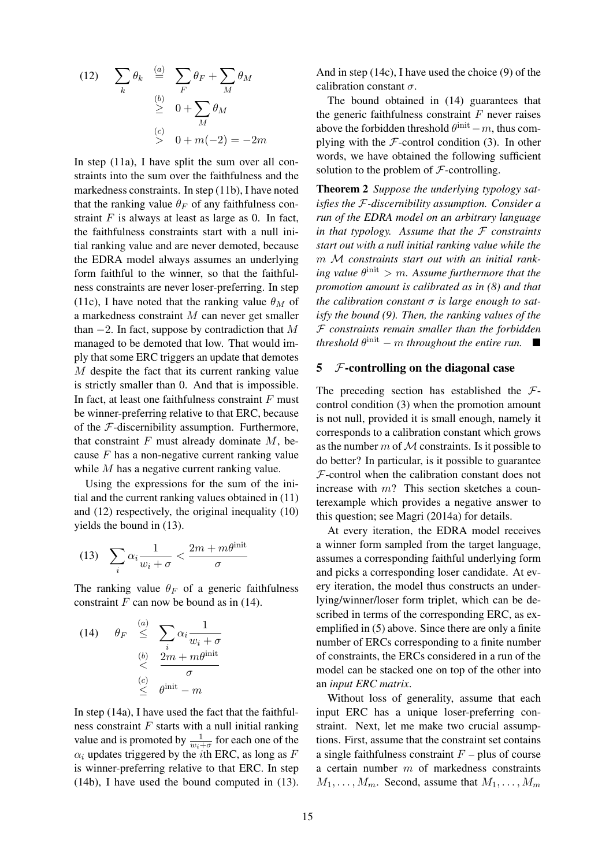(12) 
$$
\sum_{k} \theta_{k} \stackrel{(a)}{=} \sum_{F} \theta_{F} + \sum_{M} \theta_{M}
$$

$$
\stackrel{(b)}{\geq} 0 + \sum_{M} \theta_{M}
$$

$$
\stackrel{(c)}{>} 0 + m(-2) = -2m
$$

In step (11a), I have split the sum over all constraints into the sum over the faithfulness and the markedness constraints. In step (11b), I have noted that the ranking value  $\theta_F$  of any faithfulness constraint  $F$  is always at least as large as 0. In fact, the faithfulness constraints start with a null initial ranking value and are never demoted, because the EDRA model always assumes an underlying form faithful to the winner, so that the faithfulness constraints are never loser-preferring. In step (11c), I have noted that the ranking value  $\theta_M$  of a markedness constraint M can never get smaller than  $-2$ . In fact, suppose by contradiction that M managed to be demoted that low. That would imply that some ERC triggers an update that demotes M despite the fact that its current ranking value is strictly smaller than 0. And that is impossible. In fact, at least one faithfulness constraint  $F$  must be winner-preferring relative to that ERC, because of the  $F$ -discernibility assumption. Furthermore, that constraint  $F$  must already dominate  $M$ , because  $F$  has a non-negative current ranking value while M has a negative current ranking value.

Using the expressions for the sum of the initial and the current ranking values obtained in (11) and (12) respectively, the original inequality (10) yields the bound in (13).

$$
(13)\quad \sum_{i} \alpha_i \frac{1}{w_i + \sigma} < \frac{2m + m\theta^{\text{init}}}{\sigma}
$$

The ranking value  $\theta_F$  of a generic faithfulness constraint  $F$  can now be bound as in (14).

(14) 
$$
\theta_F \stackrel{(a)}{\leq} \sum_i \alpha_i \frac{1}{w_i + \sigma}
$$
  
\n $\stackrel{(b)}{\leq} \frac{2m + m\theta^{\text{init}}}{\sigma}$   
\n $\stackrel{(c)}{\leq} \theta^{\text{init}} - m$ 

In step (14a), I have used the fact that the faithfulness constraint  $F$  starts with a null initial ranking value and is promoted by  $\frac{1}{w_i+\sigma}$  for each one of the  $\alpha_i$  updates triggered by the *i*th ERC, as long as F is winner-preferring relative to that ERC. In step (14b), I have used the bound computed in (13).

And in step (14c), I have used the choice (9) of the calibration constant  $\sigma$ .

The bound obtained in (14) guarantees that the generic faithfulness constraint  $F$  never raises above the forbidden threshold  $\theta^{\text{init}} - m$ , thus complying with the  $F$ -control condition (3). In other words, we have obtained the following sufficient solution to the problem of  $F$ -controlling.

Theorem 2 *Suppose the underlying typology satisfies the* F*-discernibility assumption. Consider a run of the EDRA model on an arbitrary language in that typology. Assume that the* F *constraints start out with a null initial ranking value while the* m M *constraints start out with an initial ranking value*  $\theta^{\text{init}} > m$ . Assume furthermore that the *promotion amount is calibrated as in (8) and that the calibration constant* σ *is large enough to satisfy the bound (9). Then, the ranking values of the* F *constraints remain smaller than the forbidden threshold*  $\theta^{\text{init}} - m$  *throughout the entire run.* 

### $5$  F-controlling on the diagonal case

The preceding section has established the  $\mathcal{F}$ control condition (3) when the promotion amount is not null, provided it is small enough, namely it corresponds to a calibration constant which grows as the number  $m$  of  $M$  constraints. Is it possible to do better? In particular, is it possible to guarantee  $F$ -control when the calibration constant does not increase with  $m$ ? This section sketches a counterexample which provides a negative answer to this question; see Magri (2014a) for details.

At every iteration, the EDRA model receives a winner form sampled from the target language, assumes a corresponding faithful underlying form and picks a corresponding loser candidate. At every iteration, the model thus constructs an underlying/winner/loser form triplet, which can be described in terms of the corresponding ERC, as exemplified in (5) above. Since there are only a finite number of ERCs corresponding to a finite number of constraints, the ERCs considered in a run of the model can be stacked one on top of the other into an *input ERC matrix*.

Without loss of generality, assume that each input ERC has a unique loser-preferring constraint. Next, let me make two crucial assumptions. First, assume that the constraint set contains a single faithfulness constraint  $F$  – plus of course a certain number  $m$  of markedness constraints  $M_1, \ldots, M_m$ . Second, assume that  $M_1, \ldots, M_m$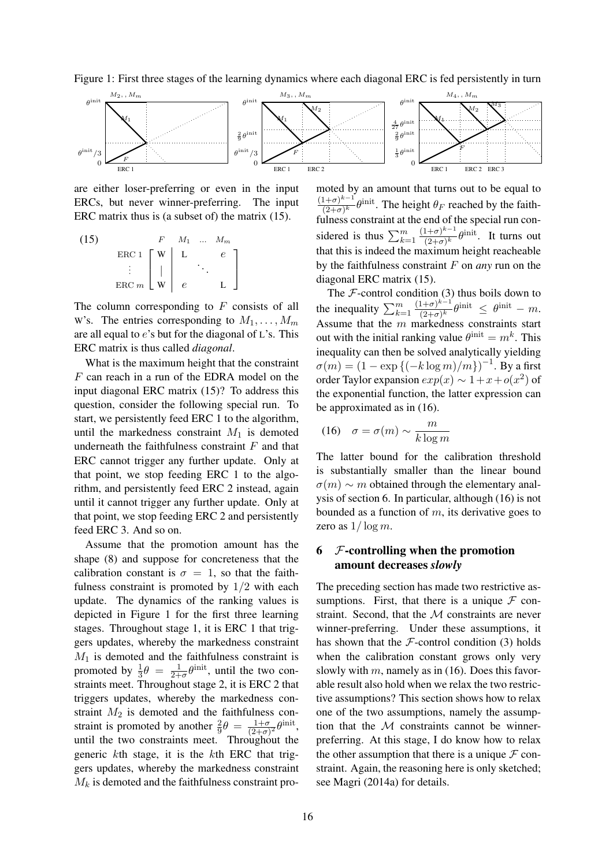Figure 1: First three stages of the learning dynamics where each diagonal ERC is fed persistently in turn



are either loser-preferring or even in the input ERCs, but never winner-preferring. The input ERC matrix thus is (a subset of) the matrix (15).

(15) 
$$
\begin{array}{c|c}\n & F & M_1 & \dots & M_m \\
\hline\n\end{array}
$$
\n
$$
\begin{array}{c|c}\n\text{ERC 1} & W & L & e \\
\vdots & \vdots & \ddots & \vdots \\
\text{ERC } m & W & e & L\n\end{array}
$$

The column corresponding to  $F$  consists of all W's. The entries corresponding to  $M_1, \ldots, M_m$ are all equal to  $e$ 's but for the diagonal of  $L$ 's. This ERC matrix is thus called *diagonal*.

What is the maximum height that the constraint F can reach in a run of the EDRA model on the input diagonal ERC matrix (15)? To address this question, consider the following special run. To start, we persistently feed ERC 1 to the algorithm, until the markedness constraint  $M_1$  is demoted underneath the faithfulness constraint  $F$  and that ERC cannot trigger any further update. Only at that point, we stop feeding ERC 1 to the algorithm, and persistently feed ERC 2 instead, again until it cannot trigger any further update. Only at that point, we stop feeding ERC 2 and persistently feed ERC 3. And so on.

Assume that the promotion amount has the shape (8) and suppose for concreteness that the calibration constant is  $\sigma = 1$ , so that the faithfulness constraint is promoted by 1/2 with each update. The dynamics of the ranking values is depicted in Figure 1 for the first three learning stages. Throughout stage 1, it is ERC 1 that triggers updates, whereby the markedness constraint  $M_1$  is demoted and the faithfulness constraint is promoted by  $\frac{1}{3}\theta = \frac{1}{2+1}$  $\frac{1}{2+\sigma}\theta^{\text{init}}$ , until the two constraints meet. Throughout stage 2, it is ERC 2 that triggers updates, whereby the markedness constraint  $M_2$  is demoted and the faithfulness constraint is promoted by another  $\frac{2}{9}\theta = \frac{1+\sigma}{(2+\sigma)}$  $\frac{1+\sigma}{(2+\sigma)^2} \theta^{\text{init}},$ until the two constraints meet. Throughout the generic kth stage, it is the kth ERC that triggers updates, whereby the markedness constraint  $M_k$  is demoted and the faithfulness constraint promoted by an amount that turns out to be equal to  $(1+\sigma)^{k-1}$  $k-1$  $\frac{(1+\sigma)^{\kappa-1}}{(2+\sigma)^k} \theta^{\text{init}}$ . The height  $\theta_F$  reached by the faithfulness constraint at the end of the special run considered is thus  $\sum_{k=1}^{m}$  $(1+\sigma)^{k-1}$  $\frac{(1+\sigma)^{\kappa-1}}{(2+\sigma)^k} \theta^{\text{init}}$ . It turns out that this is indeed the maximum height reacheable by the faithfulness constraint F on *any* run on the diagonal ERC matrix (15).

The  $F$ -control condition (3) thus boils down to the inequality  $\sum_{k=1}^{m}$  $(1+\sigma)^{k-1}$  $\frac{(1+\sigma)^{\kappa-1}}{(2+\sigma)^k} \theta^{\text{init}} \ \leq \ \theta^{\text{init}} \ - \ m.$ Assume that the m markedness constraints start out with the initial ranking value  $\theta^{\text{init}} = m^k$ . This inequality can then be solved analytically yielding  $\sigma(m) = (1 - \exp{(-k \log m)}/m)$ <sup>-1</sup>. By a first order Taylor expansion  $exp(x) \sim 1 + x + o(x^2)$  of the exponential function, the latter expression can be approximated as in (16).

$$
(16)\quad \sigma = \sigma(m) \sim \frac{m}{k \log m}
$$

The latter bound for the calibration threshold is substantially smaller than the linear bound  $\sigma(m) \sim m$  obtained through the elementary analysis of section 6. In particular, although (16) is not bounded as a function of  $m$ , its derivative goes to zero as  $1/\log m$ .

# $6$  *F*-controlling when the promotion amount decreases *slowly*

The preceding section has made two restrictive assumptions. First, that there is a unique  $\mathcal F$  constraint. Second, that the  $M$  constraints are never winner-preferring. Under these assumptions, it has shown that the  $F$ -control condition (3) holds when the calibration constant grows only very slowly with  $m$ , namely as in (16). Does this favorable result also hold when we relax the two restrictive assumptions? This section shows how to relax one of the two assumptions, namely the assumption that the  $M$  constraints cannot be winnerpreferring. At this stage, I do know how to relax the other assumption that there is a unique  $\mathcal F$  constraint. Again, the reasoning here is only sketched; see Magri (2014a) for details.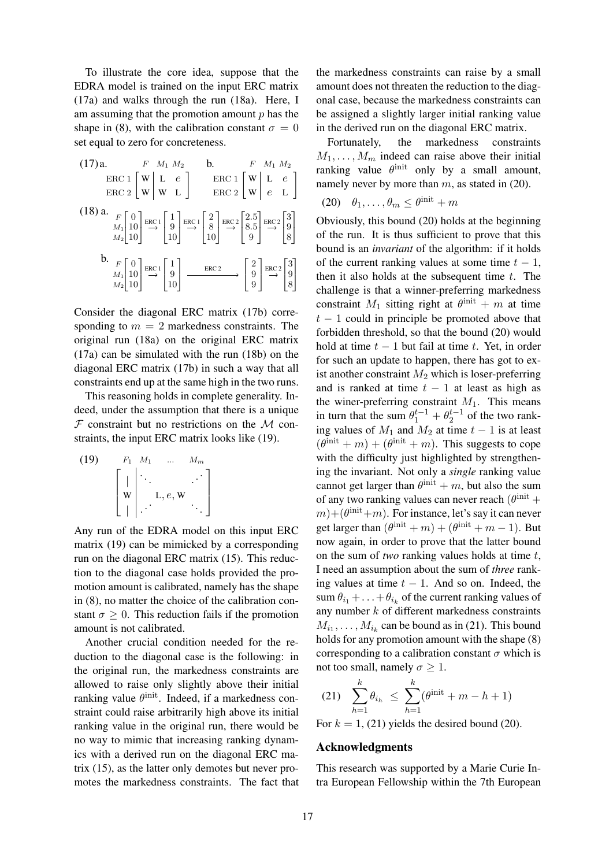To illustrate the core idea, suppose that the EDRA model is trained on the input ERC matrix (17a) and walks through the run (18a). Here, I am assuming that the promotion amount  $p$  has the shape in (8), with the calibration constant  $\sigma = 0$ set equal to zero for concreteness.

(17) a. 
$$
F M_1 M_2
$$
 b.  $F M_1 M_2$   
\nERC 1  $\begin{bmatrix} W & L & e \ W & W & L \end{bmatrix}$ ERC 1  $\begin{bmatrix} W & L & e \ W & W & L \end{bmatrix}$   
\nERC 2  $\begin{bmatrix} W & L & e \ W & W & L \end{bmatrix}$ ERC 1  $\begin{bmatrix} W & L & e \ W & e & L \end{bmatrix}$   
\n(18) a.  $F_{M_1}$   $\begin{bmatrix} 0 \\ 10 \end{bmatrix}$ ERC 1  $\begin{bmatrix} 1 \\ 9 \\ 10 \end{bmatrix}$ ERC 1  $\begin{bmatrix} 2 \\ 8 \\ 10 \end{bmatrix}$ ERC 2  $\begin{bmatrix} 2.5 \\ 8.5 \\ 9 \end{bmatrix}$ ERC 2  $\begin{bmatrix} 3 \\ 9 \\ 8 \end{bmatrix}$   
\nb.  $F_{M_1}$   $\begin{bmatrix} 0 \\ 10 \\ 10 \end{bmatrix}$ ERC 1  $\begin{bmatrix} 1 \\ 9 \\ 10 \end{bmatrix}$   $\begin{bmatrix} \text{ERC 2} \\ \text{ERC 3} \end{bmatrix}$   $\begin{bmatrix} 2 \\ 9 \\ 9 \end{bmatrix}$ ERC 2  $\begin{bmatrix} 3 \\ 9 \\ 8 \end{bmatrix}$ 

Consider the diagonal ERC matrix (17b) corresponding to  $m = 2$  markedness constraints. The original run (18a) on the original ERC matrix (17a) can be simulated with the run (18b) on the diagonal ERC matrix (17b) in such a way that all constraints end up at the same high in the two runs.

This reasoning holds in complete generality. Indeed, under the assumption that there is a unique  $F$  constraint but no restrictions on the  $M$  constraints, the input ERC matrix looks like (19).

(19) 
$$
F_1 M_1 \dots M_m
$$

$$
\begin{bmatrix} | & \cdots & \cdots & \cdots \\ \mathbf{w} & & \cdots & \cdots \\ \vdots & & \vdots & \ddots & \vdots \\ \vdots & & \vdots & \ddots & \vdots \end{bmatrix}
$$

Any run of the EDRA model on this input ERC matrix (19) can be mimicked by a corresponding run on the diagonal ERC matrix (15). This reduction to the diagonal case holds provided the promotion amount is calibrated, namely has the shape in (8), no matter the choice of the calibration constant  $\sigma > 0$ . This reduction fails if the promotion amount is not calibrated.

Another crucial condition needed for the reduction to the diagonal case is the following: in the original run, the markedness constraints are allowed to raise only slightly above their initial ranking value  $\theta^{\text{init}}$ . Indeed, if a markedness constraint could raise arbitrarily high above its initial ranking value in the original run, there would be no way to mimic that increasing ranking dynamics with a derived run on the diagonal ERC matrix (15), as the latter only demotes but never promotes the markedness constraints. The fact that

the markedness constraints can raise by a small amount does not threaten the reduction to the diagonal case, because the markedness constraints can be assigned a slightly larger initial ranking value in the derived run on the diagonal ERC matrix.

Fortunately, the markedness constraints  $M_1, \ldots, M_m$  indeed can raise above their initial ranking value  $\theta^{\text{init}}$  only by a small amount, namely never by more than  $m$ , as stated in (20).

$$
(20) \quad \theta_1, \dots, \theta_m \leq \theta^{\text{init}} + m
$$

Obviously, this bound (20) holds at the beginning of the run. It is thus sufficient to prove that this bound is an *invariant* of the algorithm: if it holds of the current ranking values at some time  $t - 1$ , then it also holds at the subsequent time  $t$ . The challenge is that a winner-preferring markedness constraint  $M_1$  sitting right at  $\theta^{\text{init}} + m$  at time  $t - 1$  could in principle be promoted above that forbidden threshold, so that the bound (20) would hold at time  $t - 1$  but fail at time t. Yet, in order for such an update to happen, there has got to exist another constraint  $M_2$  which is loser-preferring and is ranked at time  $t - 1$  at least as high as the winer-preferring constraint  $M_1$ . This means in turn that the sum  $\theta_1^{t-1} + \theta_2^{t-1}$  of the two ranking values of  $M_1$  and  $M_2$  at time  $t - 1$  is at least  $(\theta^{\text{init}} + m) + (\theta^{\text{init}} + m)$ . This suggests to cope with the difficulty just highlighted by strengthening the invariant. Not only a *single* ranking value cannot get larger than  $\theta^{\text{init}} + m$ , but also the sum of any two ranking values can never reach  $(\theta^{\text{init}} + \theta^{\text{init}})$  $(m) + (\theta^{\text{init}} + m)$ . For instance, let's say it can never get larger than  $(\theta^{\text{init}} + m) + (\theta^{\text{init}} + m - 1)$ . But now again, in order to prove that the latter bound on the sum of *two* ranking values holds at time t, I need an assumption about the sum of *three* ranking values at time  $t - 1$ . And so on. Indeed, the sum  $\theta_{i_1} + \ldots + \theta_{i_k}$  of the current ranking values of any number  $k$  of different markedness constraints  $M_{i_1}, \ldots, M_{i_k}$  can be bound as in (21). This bound holds for any promotion amount with the shape (8) corresponding to a calibration constant  $\sigma$  which is not too small, namely  $\sigma \geq 1$ .

(21) 
$$
\sum_{h=1}^{k} \theta_{i_h} \leq \sum_{h=1}^{k} (\theta^{\text{init}} + m - h + 1)
$$
  
For  $k = 1$ , (21) yields the desired bound (20).

#### Acknowledgments

This research was supported by a Marie Curie Intra European Fellowship within the 7th European